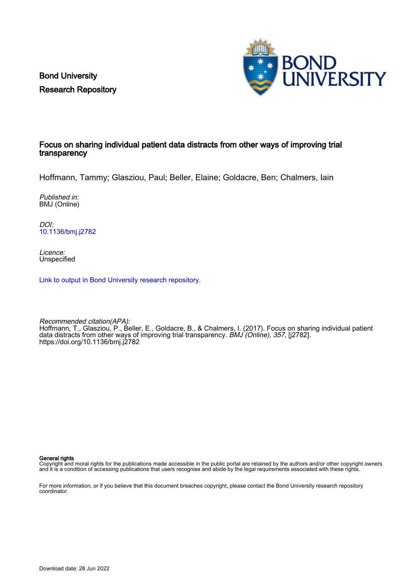Bond University Research Repository



## Focus on sharing individual patient data distracts from other ways of improving trial transparency

Hoffmann, Tammy; Glasziou, Paul; Beller, Elaine; Goldacre, Ben; Chalmers, Iain

Published in: BMJ (Online)

DOI: [10.1136/bmj.j2782](https://doi.org/10.1136/bmj.j2782)

Licence: Unspecified

[Link to output in Bond University research repository.](https://research.bond.edu.au/en/publications/835a284f-e9ec-42b5-850a-04ca444f95bb)

Recommended citation(APA): Hoffmann, T., Glasziou, P., Beller, E., Goldacre, B., & Chalmers, I. (2017). Focus on sharing individual patient data distracts from other ways of improving trial transparency. BMJ (Online), 357, [12782]. <https://doi.org/10.1136/bmj.j2782>

General rights

Copyright and moral rights for the publications made accessible in the public portal are retained by the authors and/or other copyright owners and it is a condition of accessing publications that users recognise and abide by the legal requirements associated with these rights.

For more information, or if you believe that this document breaches copyright, please contact the Bond University research repository coordinator.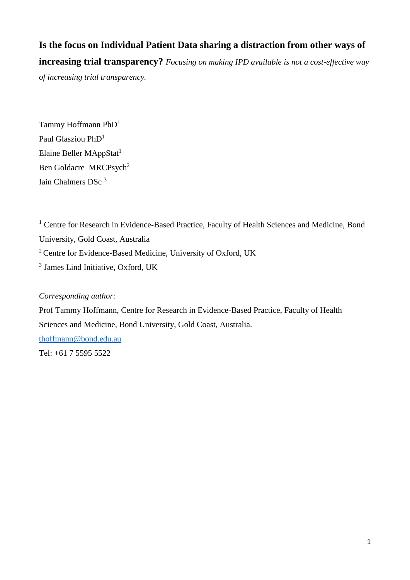**Is the focus on Individual Patient Data sharing a distraction from other ways of increasing trial transparency?** *Focusing on making IPD available is not a cost-effective way of increasing trial transparency.*

Tammy Hoffmann PhD<sup>1</sup> Paul Glasziou PhD<sup>1</sup> Elaine Beller MAppStat<sup>1</sup> Ben Goldacre MRCPsych<sup>2</sup> Iain Chalmers DSc<sup>3</sup>

<sup>1</sup> Centre for Research in Evidence-Based Practice, Faculty of Health Sciences and Medicine, Bond University, Gold Coast, Australia <sup>2</sup> Centre for Evidence-Based Medicine, University of Oxford, UK 3 James Lind Initiative, Oxford, UK

# *Corresponding author:*

Prof Tammy Hoffmann, Centre for Research in Evidence-Based Practice, Faculty of Health Sciences and Medicine, Bond University, Gold Coast, Australia. [thoffmann@bond.edu.au](mailto:thoffmann@bond.edu.au) Tel: +61 7 5595 5522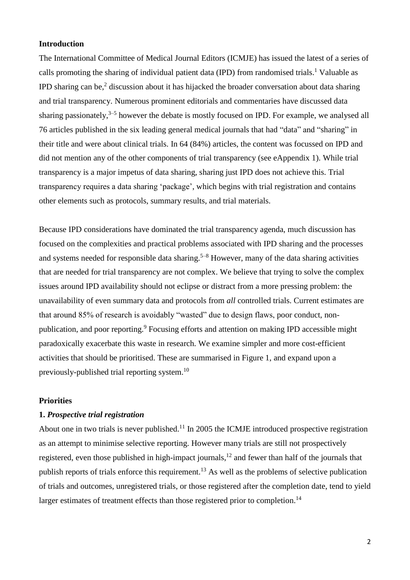## **Introduction**

The International Committee of Medical Journal Editors (ICMJE) has issued the latest of a series of calls promoting the sharing of individual patient data (IPD) from randomised trials. <sup>1</sup> Valuable as IPD sharing can be, 2 discussion about it has hijacked the broader conversation about data sharing and trial transparency. Numerous prominent editorials and commentaries have discussed data sharing passionately,<sup>3–5</sup> however the debate is mostly focused on IPD. For example, we analysed all 76 articles published in the six leading general medical journals that had "data" and "sharing" in their title and were about clinical trials. In 64 (84%) articles, the content was focussed on IPD and did not mention any of the other components of trial transparency (see eAppendix 1). While trial transparency is a major impetus of data sharing, sharing just IPD does not achieve this. Trial transparency requires a data sharing 'package', which begins with trial registration and contains other elements such as protocols, summary results, and trial materials.

Because IPD considerations have dominated the trial transparency agenda, much discussion has focused on the complexities and practical problems associated with IPD sharing and the processes and systems needed for responsible data sharing.<sup>5–8</sup> However, many of the data sharing activities that are needed for trial transparency are not complex. We believe that trying to solve the complex issues around IPD availability should not eclipse or distract from a more pressing problem: the unavailability of even summary data and protocols from *all* controlled trials. Current estimates are that around 85% of research is avoidably "wasted" due to design flaws, poor conduct, nonpublication, and poor reporting.<sup>9</sup> Focusing efforts and attention on making IPD accessible might paradoxically exacerbate this waste in research. We examine simpler and more cost-efficient activities that should be prioritised. These are summarised in Figure 1, and expand upon a previously-published trial reporting system.<sup>10</sup>

#### **Priorities**

## **1.** *Prospective trial registration*

About one in two trials is never published.<sup>11</sup> In 2005 the ICMJE introduced prospective registration as an attempt to minimise selective reporting. However many trials are still not prospectively registered, even those published in high-impact journals,<sup>12</sup> and fewer than half of the journals that publish reports of trials enforce this requirement.<sup>13</sup> As well as the problems of selective publication of trials and outcomes, unregistered trials, or those registered after the completion date, tend to yield larger estimates of treatment effects than those registered prior to completion.<sup>14</sup>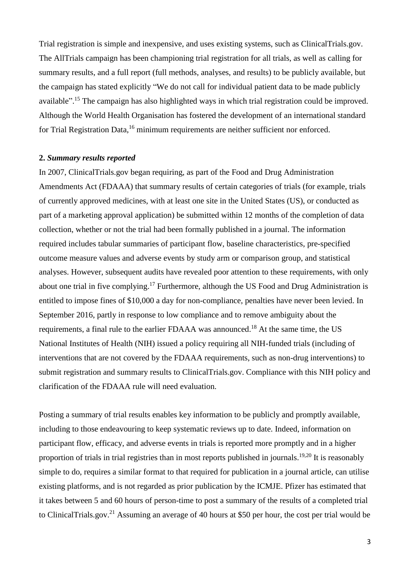Trial registration is simple and inexpensive, and uses existing systems, such as ClinicalTrials.gov. The AllTrials campaign has been championing trial registration for all trials, as well as calling for summary results, and a full report (full methods, analyses, and results) to be publicly available, but the campaign has stated explicitly "We do not call for individual patient data to be made publicly available".<sup>15</sup> The campaign has also highlighted ways in which trial registration could be improved. Although the World Health Organisation has fostered the development of an international standard for Trial Registration Data,<sup>16</sup> minimum requirements are neither sufficient nor enforced.

#### **2.** *Summary results reported*

In 2007, ClinicalTrials.gov began requiring, as part of the Food and Drug Administration Amendments Act (FDAAA) that summary results of certain categories of trials (for example, trials of currently approved medicines, with at least one site in the United States (US), or conducted as part of a marketing approval application) be submitted within 12 months of the completion of data collection, whether or not the trial had been formally published in a journal. The information required includes tabular summaries of participant flow, baseline characteristics, pre-specified outcome measure values and adverse events by study arm or comparison group, and statistical analyses. However, subsequent audits have revealed poor attention to these requirements, with only about one trial in five complying.<sup>17</sup> Furthermore, although the US Food and Drug Administration is entitled to impose fines of \$10,000 a day for non-compliance, penalties have never been levied. In September 2016, partly in response to low compliance and to remove ambiguity about the requirements, a final rule to the earlier FDAAA was announced.<sup>18</sup> At the same time, the US National Institutes of Health (NIH) issued a policy requiring all NIH-funded trials (including of interventions that are not covered by the FDAAA requirements, such as non-drug interventions) to submit registration and summary results to ClinicalTrials.gov. Compliance with this NIH policy and clarification of the FDAAA rule will need evaluation.

Posting a summary of trial results enables key information to be publicly and promptly available, including to those endeavouring to keep systematic reviews up to date. Indeed, information on participant flow, efficacy, and adverse events in trials is reported more promptly and in a higher proportion of trials in trial registries than in most reports published in journals.<sup>19,20</sup> It is reasonably simple to do, requires a similar format to that required for publication in a journal article, can utilise existing platforms, and is not regarded as prior publication by the ICMJE. Pfizer has estimated that it takes between 5 and 60 hours of person-time to post a summary of the results of a completed trial to ClinicalTrials.gov.<sup>21</sup> Assuming an average of 40 hours at \$50 per hour, the cost per trial would be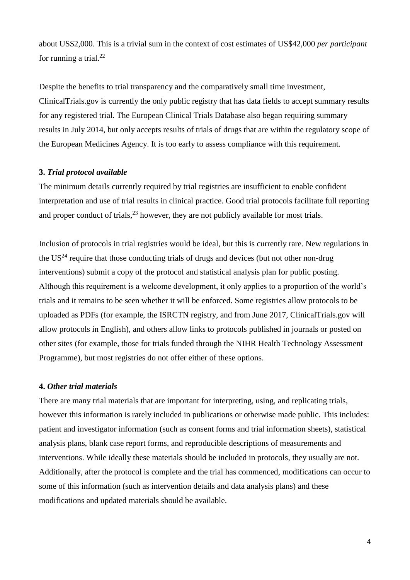about US\$2,000. This is a trivial sum in the context of cost estimates of US\$42,000 *per participant* for running a trial. $^{22}$ 

Despite the benefits to trial transparency and the comparatively small time investment, ClinicalTrials.gov is currently the only public registry that has data fields to accept summary results for any registered trial. The European Clinical Trials Database also began requiring summary results in July 2014, but only accepts results of trials of drugs that are within the regulatory scope of the European Medicines Agency. It is too early to assess compliance with this requirement.

### **3.** *Trial protocol available*

The minimum details currently required by trial registries are insufficient to enable confident interpretation and use of trial results in clinical practice. Good trial protocols facilitate full reporting and proper conduct of trials,  $2<sup>3</sup>$  however, they are not publicly available for most trials.

Inclusion of protocols in trial registries would be ideal, but this is currently rare. New regulations in the  $US<sup>24</sup>$  require that those conducting trials of drugs and devices (but not other non-drug interventions) submit a copy of the protocol and statistical analysis plan for public posting. Although this requirement is a welcome development, it only applies to a proportion of the world's trials and it remains to be seen whether it will be enforced. Some registries allow protocols to be uploaded as PDFs (for example, the ISRCTN registry, and from June 2017, ClinicalTrials.gov will allow protocols in English), and others allow links to protocols published in journals or posted on other sites (for example, those for trials funded through the NIHR Health Technology Assessment Programme), but most registries do not offer either of these options.

#### **4.** *Other trial materials*

There are many trial materials that are important for interpreting, using, and replicating trials, however this information is rarely included in publications or otherwise made public. This includes: patient and investigator information (such as consent forms and trial information sheets), statistical analysis plans, blank case report forms, and reproducible descriptions of measurements and interventions. While ideally these materials should be included in protocols, they usually are not. Additionally, after the protocol is complete and the trial has commenced, modifications can occur to some of this information (such as intervention details and data analysis plans) and these modifications and updated materials should be available.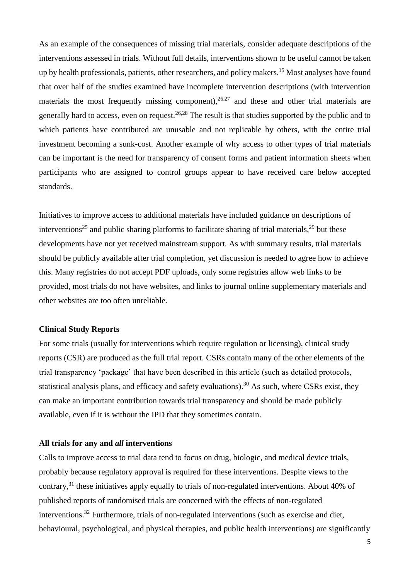As an example of the consequences of missing trial materials, consider adequate descriptions of the interventions assessed in trials. Without full details, interventions shown to be useful cannot be taken up by health professionals, patients, other researchers, and policy makers. <sup>15</sup> Most analyses have found that over half of the studies examined have incomplete intervention descriptions (with intervention materials the most frequently missing component),  $26.27$  and these and other trial materials are generally hard to access, even on request.<sup>26,28</sup> The result is that studies supported by the public and to which patients have contributed are unusable and not replicable by others, with the entire trial investment becoming a sunk-cost. Another example of why access to other types of trial materials can be important is the need for transparency of consent forms and patient information sheets when participants who are assigned to control groups appear to have received care below accepted standards.

Initiatives to improve access to additional materials have included guidance on descriptions of interventions<sup>25</sup> and public sharing platforms to facilitate sharing of trial materials,<sup>29</sup> but these developments have not yet received mainstream support. As with summary results, trial materials should be publicly available after trial completion, yet discussion is needed to agree how to achieve this. Many registries do not accept PDF uploads, only some registries allow web links to be provided, most trials do not have websites, and links to journal online supplementary materials and other websites are too often unreliable.

# **Clinical Study Reports**

For some trials (usually for interventions which require regulation or licensing), clinical study reports (CSR) are produced as the full trial report. CSRs contain many of the other elements of the trial transparency 'package' that have been described in this article (such as detailed protocols, statistical analysis plans, and efficacy and safety evaluations).<sup>30</sup> As such, where CSRs exist, they can make an important contribution towards trial transparency and should be made publicly available, even if it is without the IPD that they sometimes contain.

### **All trials for any and** *all* **interventions**

Calls to improve access to trial data tend to focus on drug, biologic, and medical device trials, probably because regulatory approval is required for these interventions. Despite views to the contrary,<sup>31</sup> these initiatives apply equally to trials of non-regulated interventions. About 40% of published reports of randomised trials are concerned with the effects of non-regulated interventions.<sup>32</sup> Furthermore, trials of non-regulated interventions (such as exercise and diet, behavioural, psychological, and physical therapies, and public health interventions) are significantly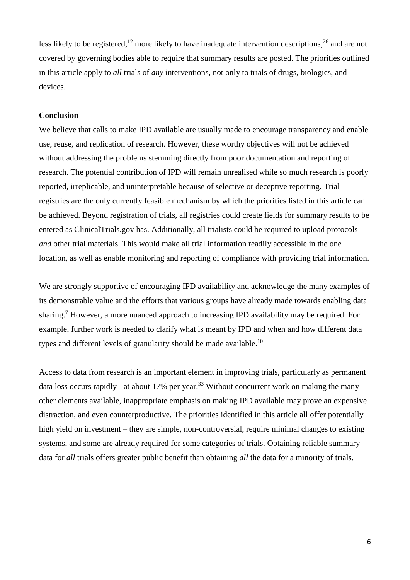less likely to be registered,<sup>12</sup> more likely to have inadequate intervention descriptions,<sup>26</sup> and are not covered by governing bodies able to require that summary results are posted. The priorities outlined in this article apply to *all* trials of *any* interventions, not only to trials of drugs, biologics, and devices.

#### **Conclusion**

We believe that calls to make IPD available are usually made to encourage transparency and enable use, reuse, and replication of research. However, these worthy objectives will not be achieved without addressing the problems stemming directly from poor documentation and reporting of research. The potential contribution of IPD will remain unrealised while so much research is poorly reported, irreplicable, and uninterpretable because of selective or deceptive reporting. Trial registries are the only currently feasible mechanism by which the priorities listed in this article can be achieved. Beyond registration of trials, all registries could create fields for summary results to be entered as ClinicalTrials.gov has. Additionally, all trialists could be required to upload protocols *and* other trial materials. This would make all trial information readily accessible in the one location, as well as enable monitoring and reporting of compliance with providing trial information.

We are strongly supportive of encouraging IPD availability and acknowledge the many examples of its demonstrable value and the efforts that various groups have already made towards enabling data sharing.<sup>7</sup> However, a more nuanced approach to increasing IPD availability may be required. For example, further work is needed to clarify what is meant by IPD and when and how different data types and different levels of granularity should be made available.<sup>10</sup>

Access to data from research is an important element in improving trials, particularly as permanent data loss occurs rapidly - at about 17% per year.<sup>33</sup> Without concurrent work on making the many other elements available, inappropriate emphasis on making IPD available may prove an expensive distraction, and even counterproductive. The priorities identified in this article all offer potentially high yield on investment – they are simple, non-controversial, require minimal changes to existing systems, and some are already required for some categories of trials. Obtaining reliable summary data for *all* trials offers greater public benefit than obtaining *all* the data for a minority of trials.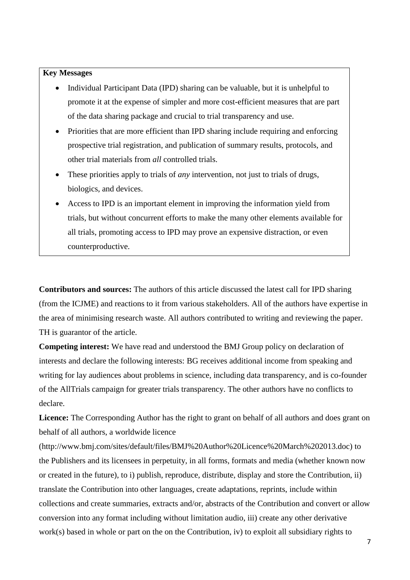## **Key Messages**

- Individual Participant Data (IPD) sharing can be valuable, but it is unhelpful to promote it at the expense of simpler and more cost-efficient measures that are part of the data sharing package and crucial to trial transparency and use.
- Priorities that are more efficient than IPD sharing include requiring and enforcing prospective trial registration, and publication of summary results, protocols, and other trial materials from *all* controlled trials.
- These priorities apply to trials of *any* intervention, not just to trials of drugs, biologics, and devices.
- Access to IPD is an important element in improving the information yield from trials, but without concurrent efforts to make the many other elements available for all trials, promoting access to IPD may prove an expensive distraction, or even counterproductive.

**Contributors and sources:** The authors of this article discussed the latest call for IPD sharing (from the ICJME) and reactions to it from various stakeholders. All of the authors have expertise in the area of minimising research waste. All authors contributed to writing and reviewing the paper. TH is guarantor of the article.

**Competing interest:** We have read and understood the BMJ Group policy on declaration of interests and declare the following interests: BG receives additional income from speaking and writing for lay audiences about problems in science, including data transparency, and is co-founder of the AllTrials campaign for greater trials transparency. The other authors have no conflicts to declare.

**Licence:** The Corresponding Author has the right to grant on behalf of all authors and does grant on behalf of all authors, a worldwide licence

(http://www.bmj.com/sites/default/files/BMJ%20Author%20Licence%20March%202013.doc) to the Publishers and its licensees in perpetuity, in all forms, formats and media (whether known now or created in the future), to i) publish, reproduce, distribute, display and store the Contribution, ii) translate the Contribution into other languages, create adaptations, reprints, include within collections and create summaries, extracts and/or, abstracts of the Contribution and convert or allow conversion into any format including without limitation audio, iii) create any other derivative work(s) based in whole or part on the on the Contribution, iv) to exploit all subsidiary rights to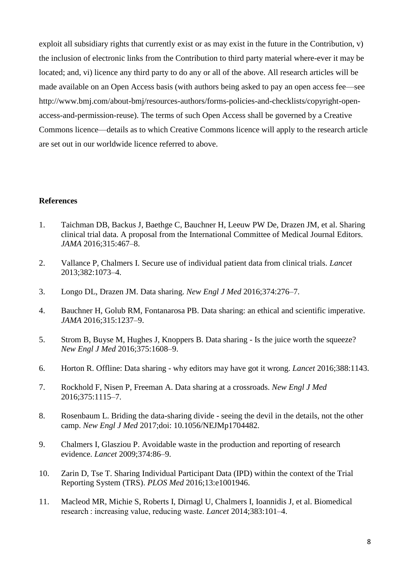exploit all subsidiary rights that currently exist or as may exist in the future in the Contribution, v) the inclusion of electronic links from the Contribution to third party material where-ever it may be located; and, vi) licence any third party to do any or all of the above. All research articles will be made available on an Open Access basis (with authors being asked to pay an open access fee—see http://www.bmj.com/about-bmj/resources-authors/forms-policies-and-checklists/copyright-openaccess-and-permission-reuse). The terms of such Open Access shall be governed by a Creative Commons licence—details as to which Creative Commons licence will apply to the research article are set out in our worldwide licence referred to above.

### **References**

- 1. Taichman DB, Backus J, Baethge C, Bauchner H, Leeuw PW De, Drazen JM, et al. Sharing clinical trial data. A proposal from the International Committee of Medical Journal Editors. *JAMA* 2016;315:467–8.
- 2. Vallance P, Chalmers I. Secure use of individual patient data from clinical trials. *Lancet* 2013;382:1073–4.
- 3. Longo DL, Drazen JM. Data sharing. *New Engl J Med* 2016;374:276–7.
- 4. Bauchner H, Golub RM, Fontanarosa PB. Data sharing: an ethical and scientific imperative. *JAMA* 2016;315:1237–9.
- 5. Strom B, Buyse M, Hughes J, Knoppers B. Data sharing Is the juice worth the squeeze? *New Engl J Med* 2016;375:1608–9.
- 6. Horton R. Offline: Data sharing why editors may have got it wrong. *Lancet* 2016;388:1143.
- 7. Rockhold F, Nisen P, Freeman A. Data sharing at a crossroads. *New Engl J Med*  2016;375:1115–7.
- 8. Rosenbaum L. Briding the data-sharing divide seeing the devil in the details, not the other camp. *New Engl J Med* 2017;doi: 10.1056/NEJMp1704482.
- 9. Chalmers I, Glasziou P. Avoidable waste in the production and reporting of research evidence. *Lancet* 2009;374:86–9.
- 10. Zarin D, Tse T. Sharing Individual Participant Data (IPD) within the context of the Trial Reporting System (TRS). *PLOS Med* 2016;13:e1001946.
- 11. Macleod MR, Michie S, Roberts I, Dirnagl U, Chalmers I, Ioannidis J, et al. Biomedical research : increasing value, reducing waste. *Lancet* 2014;383:101–4.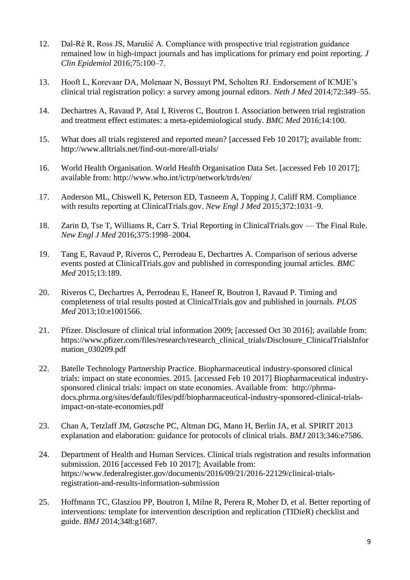- 12. Dal-Ré R, Ross JS, Marušić A. Compliance with prospective trial registration guidance remained low in high-impact journals and has implications for primary end point reporting. *J Clin Epidemiol* 2016;75:100–7.
- 13. Hooft L, Korevaar DA, Molenaar N, Bossuyt PM, Scholten RJ. Endorsement of ICMJE's clinical trial registration policy: a survey among journal editors. *Neth J Med* 2014;72:349–55.
- 14. Dechartres A, Ravaud P, Atal I, Riveros C, Boutron I. Association between trial registration and treatment effect estimates: a meta-epidemiological study. *BMC Med* 2016;14:100.
- 15. What does all trials registered and reported mean? [accessed Feb 10 2017]; available from: http://www.alltrials.net/find-out-more/all-trials/
- 16. World Health Organisation. World Health Organisation Data Set. [accessed Feb 10 2017]; available from: http://www.who.int/ictrp/network/trds/en/
- 17. Anderson ML, Chiswell K, Peterson ED, Tasneem A, Topping J, Califf RM. Compliance with results reporting at ClinicalTrials.gov. *New Engl J Med* 2015;372:1031–9.
- 18. Zarin D, Tse T, Williams R, Carr S. Trial Reporting in ClinicalTrials.gov The Final Rule. *New Engl J Med* 2016;375:1998–2004.
- 19. Tang E, Ravaud P, Riveros C, Perrodeau E, Dechartres A. Comparison of serious adverse events posted at ClinicalTrials.gov and published in corresponding journal articles. *BMC Med* 2015;13:189.
- 20. Riveros C, Dechartres A, Perrodeau E, Haneef R, Boutron I, Ravaud P. Timing and completeness of trial results posted at ClinicalTrials.gov and published in journals. *PLOS Med* 2013;10:e1001566.
- 21. Pfizer. Disclosure of clinical trial information 2009; [accessed Oct 30 2016]; available from: https://www.pfizer.com/files/research/research\_clinical\_trials/Disclosure\_ClinicalTrialsInfor mation\_030209.pdf
- 22. Batelle Technology Partnership Practice. Biopharmaceutical industry-sponsored clinical trials: impact on state economies. 2015. [accessed Feb 10 2017] Biopharmaceutical industrysponsored clinical trials: impact on state economies. Available from: http://phrmadocs.phrma.org/sites/default/files/pdf/biopharmaceutical-industry-sponsored-clinical-trialsimpact-on-state-economies.pdf
- 23. Chan A, Tetzlaff JM, Gøtzsche PC, Altman DG, Mann H, Berlin JA, et al. SPIRIT 2013 explanation and elaboration: guidance for protocols of clinical trials. *BMJ* 2013;346:e7586.
- 24. Department of Health and Human Services. Clinical trials registration and results information submission. 2016 [accessed Feb 10 2017]; Available from: https://www.federalregister.gov/documents/2016/09/21/2016-22129/clinical-trialsregistration-and-results-information-submission
- 25. Hoffmann TC, Glasziou PP, Boutron I, Milne R, Perera R, Moher D, et al. Better reporting of interventions: template for intervention description and replication (TIDieR) checklist and guide. *BMJ* 2014;348:g1687.